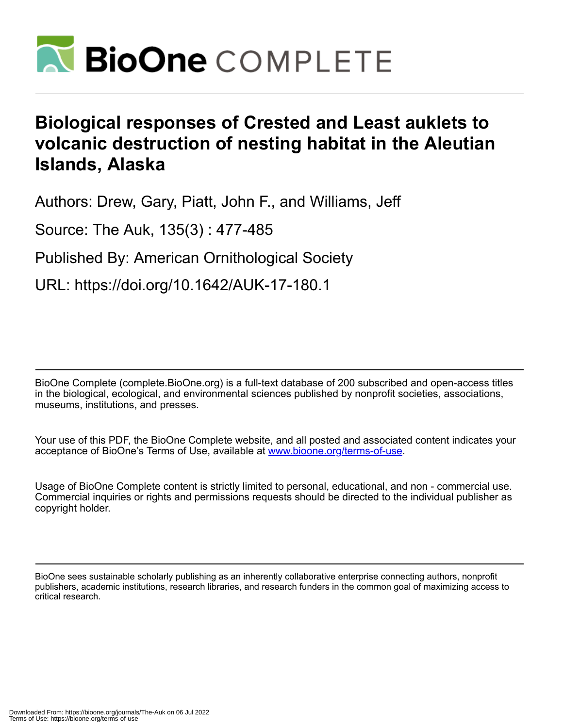

# **Biological responses of Crested and Least auklets to volcanic destruction of nesting habitat in the Aleutian Islands, Alaska**

Authors: Drew, Gary, Piatt, John F., and Williams, Jeff

Source: The Auk, 135(3) : 477-485

Published By: American Ornithological Society

URL: https://doi.org/10.1642/AUK-17-180.1

BioOne Complete (complete.BioOne.org) is a full-text database of 200 subscribed and open-access titles in the biological, ecological, and environmental sciences published by nonprofit societies, associations, museums, institutions, and presses.

Your use of this PDF, the BioOne Complete website, and all posted and associated content indicates your acceptance of BioOne's Terms of Use, available at www.bioone.org/terms-of-use.

Usage of BioOne Complete content is strictly limited to personal, educational, and non - commercial use. Commercial inquiries or rights and permissions requests should be directed to the individual publisher as copyright holder.

BioOne sees sustainable scholarly publishing as an inherently collaborative enterprise connecting authors, nonprofit publishers, academic institutions, research libraries, and research funders in the common goal of maximizing access to critical research.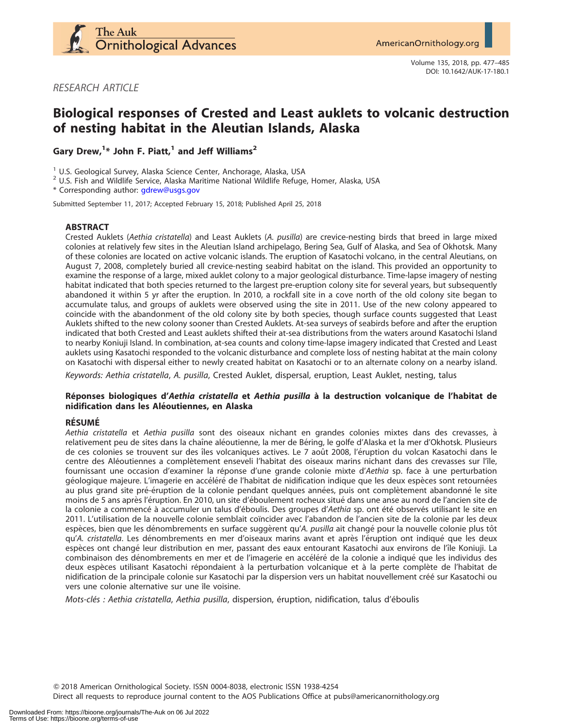

RESEARCH ARTICLE

# Biological responses of Crested and Least auklets to volcanic destruction of nesting habitat in the Aleutian Islands, Alaska

Gary Drew, $^{1*}$  John F. Piatt, $^{1}$  and Jeff Williams<sup>2</sup>

<sup>1</sup> U.S. Geological Survey, Alaska Science Center, Anchorage, Alaska, USA  $^2$  U.S. Fish and Wildlife Service, Alaska, USA

\* Corresponding author: [gdrew@usgs.gov](mailto:gdrew@usgs.gov)

Submitted September 11, 2017; Accepted February 15, 2018; Published April 25, 2018

# ABSTRACT

Crested Auklets (Aethia cristatella) and Least Auklets (A. pusilla) are crevice-nesting birds that breed in large mixed colonies at relatively few sites in the Aleutian Island archipelago, Bering Sea, Gulf of Alaska, and Sea of Okhotsk. Many of these colonies are located on active volcanic islands. The eruption of Kasatochi volcano, in the central Aleutians, on August 7, 2008, completely buried all crevice-nesting seabird habitat on the island. This provided an opportunity to examine the response of a large, mixed auklet colony to a major geological disturbance. Time-lapse imagery of nesting habitat indicated that both species returned to the largest pre-eruption colony site for several years, but subsequently abandoned it within 5 yr after the eruption. In 2010, a rockfall site in a cove north of the old colony site began to accumulate talus, and groups of auklets were observed using the site in 2011. Use of the new colony appeared to coincide with the abandonment of the old colony site by both species, though surface counts suggested that Least Auklets shifted to the new colony sooner than Crested Auklets. At-sea surveys of seabirds before and after the eruption indicated that both Crested and Least auklets shifted their at-sea distributions from the waters around Kasatochi Island to nearby Koniuji Island. In combination, at-sea counts and colony time-lapse imagery indicated that Crested and Least auklets using Kasatochi responded to the volcanic disturbance and complete loss of nesting habitat at the main colony on Kasatochi with dispersal either to newly created habitat on Kasatochi or to an alternate colony on a nearby island.

Keywords: Aethia cristatella, A. pusilla, Crested Auklet, dispersal, eruption, Least Auklet, nesting, talus

# Réponses biologiques d'Aethia cristatella et Aethia pusilla à la destruction volcanique de l'habitat de nidification dans les Aleoutiennes, en Alaska ´

#### **RÉSUMÉ**

Aethia cristatella et Aethia pusilla sont des oiseaux nichant en grandes colonies mixtes dans des crevasses, à relativement peu de sites dans la chaîne aléoutienne, la mer de Béring, le golfe d'Alaska et la mer d'Okhotsk. Plusieurs de ces colonies se trouvent sur des îles volcaniques actives. Le 7 août 2008, l'éruption du volcan Kasatochi dans le centre des Aléoutiennes a complètement enseveli l'habitat des oiseaux marins nichant dans des crevasses sur l'île, fournissant une occasion d'examiner la réponse d'une grande colonie mixte d'Aethia sp. face à une perturbation géologique majeure. L'imagerie en accéléré de l'habitat de nidification indique que les deux espèces sont retournées au plus grand site pré-éruption de la colonie pendant quelques années, puis ont complètement abandonné le site moins de 5 ans après l'éruption. En 2010, un site d'éboulement rocheux situé dans une anse au nord de l'ancien site de la colonie a commencé à accumuler un talus d'éboulis. Des groupes d'Aethia sp. ont été observés utilisant le site en 2011. L'utilisation de la nouvelle colonie semblait coïncider avec l'abandon de l'ancien site de la colonie par les deux espèces, bien que les dénombrements en surface suggèrent qu'A. *pusilla* ait changé pour la nouvelle colonie plus tôt qu'A. cristatella. Les dénombrements en mer d'oiseaux marins avant et après l'éruption ont indiqué que les deux espèces ont changé leur distribution en mer, passant des eaux entourant Kasatochi aux environs de l'île Koniuji. La combinaison des dénombrements en mer et de l'imagerie en accéléré de la colonie a indiqué que les individus des deux espèces utilisant Kasatochi répondaient à la perturbation volcanique et à la perte complète de l'habitat de nidification de la principale colonie sur Kasatochi par la dispersion vers un habitat nouvellement créé sur Kasatochi ou vers une colonie alternative sur une île voisine.

Mots-clés : Aethia cristatella, Aethia pusilla, dispersion, éruption, nidification, talus d'éboulis

Q 2018 American Ornithological Society. ISSN 0004-8038, electronic ISSN 1938-4254

Direct all requests to reproduce journal content to the AOS Publications Office at pubs@americanornithology.org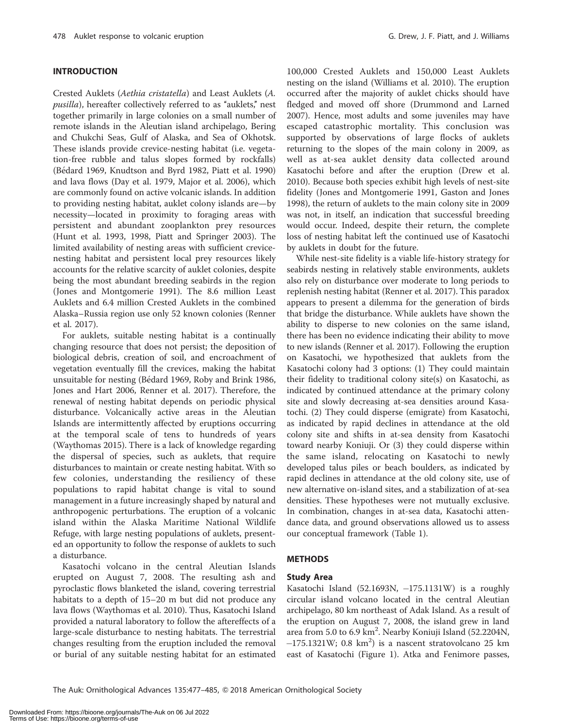# INTRODUCTION

Crested Auklets (Aethia cristatella) and Least Auklets (A. pusilla), hereafter collectively referred to as "auklets," nest together primarily in large colonies on a small number of remote islands in the Aleutian island archipelago, Bering and Chukchi Seas, Gulf of Alaska, and Sea of Okhotsk. These islands provide crevice-nesting habitat (i.e. vegetation-free rubble and talus slopes formed by rockfalls) (Bédard 1969, Knudtson and Byrd 1982, Piatt et al. 1990) and lava flows (Day et al. 1979, Major et al. 2006), which are commonly found on active volcanic islands. In addition to providing nesting habitat, auklet colony islands are—by necessity—located in proximity to foraging areas with persistent and abundant zooplankton prey resources (Hunt et al. 1993, 1998, Piatt and Springer 2003). The limited availability of nesting areas with sufficient crevicenesting habitat and persistent local prey resources likely accounts for the relative scarcity of auklet colonies, despite being the most abundant breeding seabirds in the region (Jones and Montgomerie 1991). The 8.6 million Least Auklets and 6.4 million Crested Auklets in the combined Alaska–Russia region use only 52 known colonies (Renner et al. 2017).

For auklets, suitable nesting habitat is a continually changing resource that does not persist; the deposition of biological debris, creation of soil, and encroachment of vegetation eventually fill the crevices, making the habitat unsuitable for nesting (Bédard 1969, Roby and Brink 1986, Jones and Hart 2006, Renner et al. 2017). Therefore, the renewal of nesting habitat depends on periodic physical disturbance. Volcanically active areas in the Aleutian Islands are intermittently affected by eruptions occurring at the temporal scale of tens to hundreds of years (Waythomas 2015). There is a lack of knowledge regarding the dispersal of species, such as auklets, that require disturbances to maintain or create nesting habitat. With so few colonies, understanding the resiliency of these populations to rapid habitat change is vital to sound management in a future increasingly shaped by natural and anthropogenic perturbations. The eruption of a volcanic island within the Alaska Maritime National Wildlife Refuge, with large nesting populations of auklets, presented an opportunity to follow the response of auklets to such a disturbance.

Kasatochi volcano in the central Aleutian Islands erupted on August 7, 2008. The resulting ash and pyroclastic flows blanketed the island, covering terrestrial habitats to a depth of 15–20 m but did not produce any lava flows (Waythomas et al. 2010). Thus, Kasatochi Island provided a natural laboratory to follow the aftereffects of a large-scale disturbance to nesting habitats. The terrestrial changes resulting from the eruption included the removal or burial of any suitable nesting habitat for an estimated

100,000 Crested Auklets and 150,000 Least Auklets nesting on the island (Williams et al. 2010). The eruption occurred after the majority of auklet chicks should have fledged and moved off shore (Drummond and Larned 2007). Hence, most adults and some juveniles may have escaped catastrophic mortality. This conclusion was supported by observations of large flocks of auklets returning to the slopes of the main colony in 2009, as well as at-sea auklet density data collected around Kasatochi before and after the eruption (Drew et al. 2010). Because both species exhibit high levels of nest-site fidelity (Jones and Montgomerie 1991, Gaston and Jones 1998), the return of auklets to the main colony site in 2009 was not, in itself, an indication that successful breeding would occur. Indeed, despite their return, the complete loss of nesting habitat left the continued use of Kasatochi by auklets in doubt for the future.

While nest-site fidelity is a viable life-history strategy for seabirds nesting in relatively stable environments, auklets also rely on disturbance over moderate to long periods to replenish nesting habitat (Renner et al. 2017). This paradox appears to present a dilemma for the generation of birds that bridge the disturbance. While auklets have shown the ability to disperse to new colonies on the same island, there has been no evidence indicating their ability to move to new islands (Renner et al. 2017). Following the eruption on Kasatochi, we hypothesized that auklets from the Kasatochi colony had 3 options: (1) They could maintain their fidelity to traditional colony site(s) on Kasatochi, as indicated by continued attendance at the primary colony site and slowly decreasing at-sea densities around Kasatochi. (2) They could disperse (emigrate) from Kasatochi, as indicated by rapid declines in attendance at the old colony site and shifts in at-sea density from Kasatochi toward nearby Koniuji. Or (3) they could disperse within the same island, relocating on Kasatochi to newly developed talus piles or beach boulders, as indicated by rapid declines in attendance at the old colony site, use of new alternative on-island sites, and a stabilization of at-sea densities. These hypotheses were not mutually exclusive. In combination, changes in at-sea data, Kasatochi attendance data, and ground observations allowed us to assess our conceptual framework (Table 1).

#### **METHODS**

#### Study Area

Kasatochi Island (52.1693N, -175.1131W) is a roughly circular island volcano located in the central Aleutian archipelago, 80 km northeast of Adak Island. As a result of the eruption on August 7, 2008, the island grew in land area from 5.0 to 6.9 km<sup>2</sup>. Nearby Koniuji Island (52.2204N,  $-175.1321W$ ; 0.8 km<sup>2</sup>) is a nascent stratovolcano 25 km east of Kasatochi (Figure 1). Atka and Fenimore passes,

The Auk: Ornithological Advances 135:477-485, © 2018 American Ornithological Society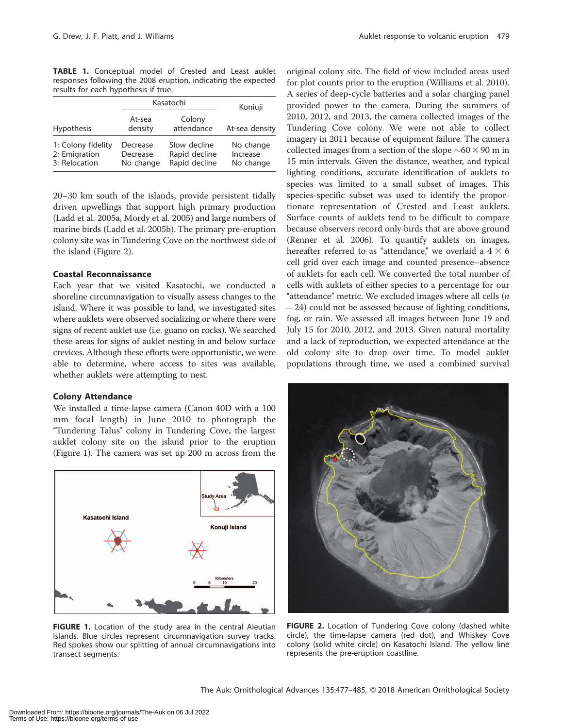TABLE 1. Conceptual model of Crested and Least auklet responses following the 2008 eruption, indicating the expected results for each hypothesis if true.

| Kasatochi                                            |                                   |                                                | Koniuji                            |  |
|------------------------------------------------------|-----------------------------------|------------------------------------------------|------------------------------------|--|
| <b>Hypothesis</b>                                    | At-sea<br>density                 | Colony<br>attendance                           | At-sea density                     |  |
| 1: Colony fidelity<br>2: Emigration<br>3: Relocation | Decrease<br>Decrease<br>No change | Slow decline<br>Rapid decline<br>Rapid decline | No change<br>Increase<br>No change |  |

20–30 km south of the islands, provide persistent tidally driven upwellings that support high primary production (Ladd et al. 2005a, Mordy et al. 2005) and large numbers of marine birds (Ladd et al. 2005b). The primary pre-eruption colony site was in Tundering Cove on the northwest side of the island (Figure 2).

# Coastal Reconnaissance

Each year that we visited Kasatochi, we conducted a shoreline circumnavigation to visually assess changes to the island. Where it was possible to land, we investigated sites where auklets were observed socializing or where there were signs of recent auklet use (i.e. guano on rocks). We searched these areas for signs of auklet nesting in and below surface crevices. Although these efforts were opportunistic, we were able to determine, where access to sites was available, whether auklets were attempting to nest.

# Colony Attendance

We installed a time-lapse camera (Canon 40D with a 100 mm focal length) in June 2010 to photograph the ''Tundering Talus'' colony in Tundering Cove, the largest auklet colony site on the island prior to the eruption (Figure 1). The camera was set up 200 m across from the



FIGURE 1. Location of the study area in the central Aleutian Islands. Blue circles represent circumnavigation survey tracks. Red spokes show our splitting of annual circumnavigations into transect segments.

original colony site. The field of view included areas used for plot counts prior to the eruption (Williams et al. 2010). A series of deep-cycle batteries and a solar charging panel provided power to the camera. During the summers of 2010, 2012, and 2013, the camera collected images of the Tundering Cove colony. We were not able to collect imagery in 2011 because of equipment failure. The camera collected images from a section of the slope  $\sim 60 \times 90$  m in 15 min intervals. Given the distance, weather, and typical lighting conditions, accurate identification of auklets to species was limited to a small subset of images. This species-specific subset was used to identify the proportionate representation of Crested and Least auklets. Surface counts of auklets tend to be difficult to compare because observers record only birds that are above ground (Renner et al. 2006). To quantify auklets on images, hereafter referred to as "attendance," we overlaid a  $4 \times 6$ cell grid over each image and counted presence–absence of auklets for each cell. We converted the total number of cells with auklets of either species to a percentage for our "attendance" metric. We excluded images where all cells  $(n)$  $=$  24) could not be assessed because of lighting conditions, fog, or rain. We assessed all images between June 19 and July 15 for 2010, 2012, and 2013. Given natural mortality and a lack of reproduction, we expected attendance at the old colony site to drop over time. To model auklet populations through time, we used a combined survival



FIGURE 2. Location of Tundering Cove colony (dashed white circle), the time-lapse camera (red dot), and Whiskey Cove colony (solid white circle) on Kasatochi Island. The yellow line represents the pre-eruption coastline.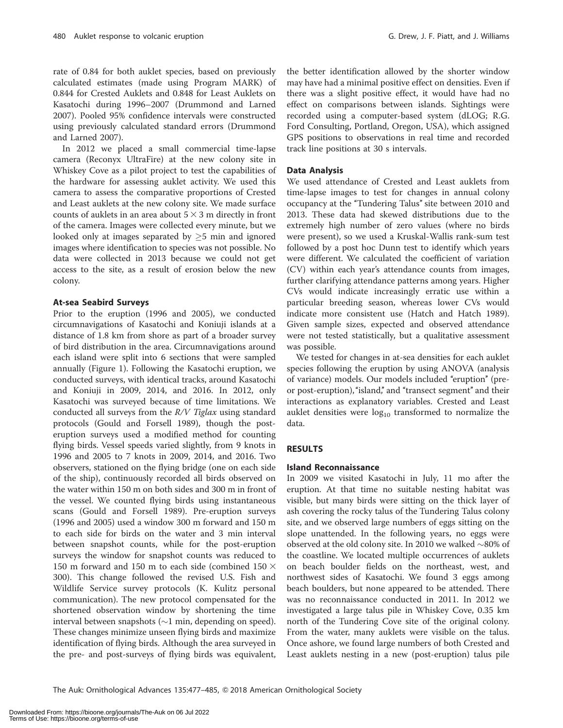rate of 0.84 for both auklet species, based on previously calculated estimates (made using Program MARK) of 0.844 for Crested Auklets and 0.848 for Least Auklets on Kasatochi during 1996–2007 (Drummond and Larned 2007). Pooled 95% confidence intervals were constructed using previously calculated standard errors (Drummond and Larned 2007).

In 2012 we placed a small commercial time-lapse camera (Reconyx UltraFire) at the new colony site in Whiskey Cove as a pilot project to test the capabilities of the hardware for assessing auklet activity. We used this camera to assess the comparative proportions of Crested and Least auklets at the new colony site. We made surface counts of auklets in an area about  $5 \times 3$  m directly in front of the camera. Images were collected every minute, but we looked only at images separated by  $\geq$ 5 min and ignored images where identification to species was not possible. No data were collected in 2013 because we could not get access to the site, as a result of erosion below the new colony.

#### At-sea Seabird Surveys

Prior to the eruption (1996 and 2005), we conducted circumnavigations of Kasatochi and Koniuji islands at a distance of 1.8 km from shore as part of a broader survey of bird distribution in the area. Circumnavigations around each island were split into 6 sections that were sampled annually (Figure 1). Following the Kasatochi eruption, we conducted surveys, with identical tracks, around Kasatochi and Koniuji in 2009, 2014, and 2016. In 2012, only Kasatochi was surveyed because of time limitations. We conducted all surveys from the  $R/V$  Tiglax using standard protocols (Gould and Forsell 1989), though the posteruption surveys used a modified method for counting flying birds. Vessel speeds varied slightly, from 9 knots in 1996 and 2005 to 7 knots in 2009, 2014, and 2016. Two observers, stationed on the flying bridge (one on each side of the ship), continuously recorded all birds observed on the water within 150 m on both sides and 300 m in front of the vessel. We counted flying birds using instantaneous scans (Gould and Forsell 1989). Pre-eruption surveys (1996 and 2005) used a window 300 m forward and 150 m to each side for birds on the water and 3 min interval between snapshot counts, while for the post-eruption surveys the window for snapshot counts was reduced to 150 m forward and 150 m to each side (combined 150  $\times$ 300). This change followed the revised U.S. Fish and Wildlife Service survey protocols (K. Kulitz personal communication). The new protocol compensated for the shortened observation window by shortening the time interval between snapshots  $(\sim1$  min, depending on speed). These changes minimize unseen flying birds and maximize identification of flying birds. Although the area surveyed in the pre- and post-surveys of flying birds was equivalent,

the better identification allowed by the shorter window may have had a minimal positive effect on densities. Even if there was a slight positive effect, it would have had no effect on comparisons between islands. Sightings were recorded using a computer-based system (dLOG; R.G. Ford Consulting, Portland, Oregon, USA), which assigned GPS positions to observations in real time and recorded track line positions at 30 s intervals.

#### Data Analysis

We used attendance of Crested and Least auklets from time-lapse images to test for changes in annual colony occupancy at the ''Tundering Talus'' site between 2010 and 2013. These data had skewed distributions due to the extremely high number of zero values (where no birds were present), so we used a Kruskal-Wallis rank-sum test followed by a post hoc Dunn test to identify which years were different. We calculated the coefficient of variation (CV) within each year's attendance counts from images, further clarifying attendance patterns among years. Higher CVs would indicate increasingly erratic use within a particular breeding season, whereas lower CVs would indicate more consistent use (Hatch and Hatch 1989). Given sample sizes, expected and observed attendance were not tested statistically, but a qualitative assessment was possible.

We tested for changes in at-sea densities for each auklet species following the eruption by using ANOVA (analysis of variance) models. Our models included "eruption" (preor post-eruption), ''island,'' and ''transect segment'' and their interactions as explanatory variables. Crested and Least auklet densities were  $log_{10}$  transformed to normalize the data.

# RESULTS

# Island Reconnaissance

In 2009 we visited Kasatochi in July, 11 mo after the eruption. At that time no suitable nesting habitat was visible, but many birds were sitting on the thick layer of ash covering the rocky talus of the Tundering Talus colony site, and we observed large numbers of eggs sitting on the slope unattended. In the following years, no eggs were observed at the old colony site. In 2010 we walked  $\sim$ 80% of the coastline. We located multiple occurrences of auklets on beach boulder fields on the northeast, west, and northwest sides of Kasatochi. We found 3 eggs among beach boulders, but none appeared to be attended. There was no reconnaissance conducted in 2011. In 2012 we investigated a large talus pile in Whiskey Cove, 0.35 km north of the Tundering Cove site of the original colony. From the water, many auklets were visible on the talus. Once ashore, we found large numbers of both Crested and Least auklets nesting in a new (post-eruption) talus pile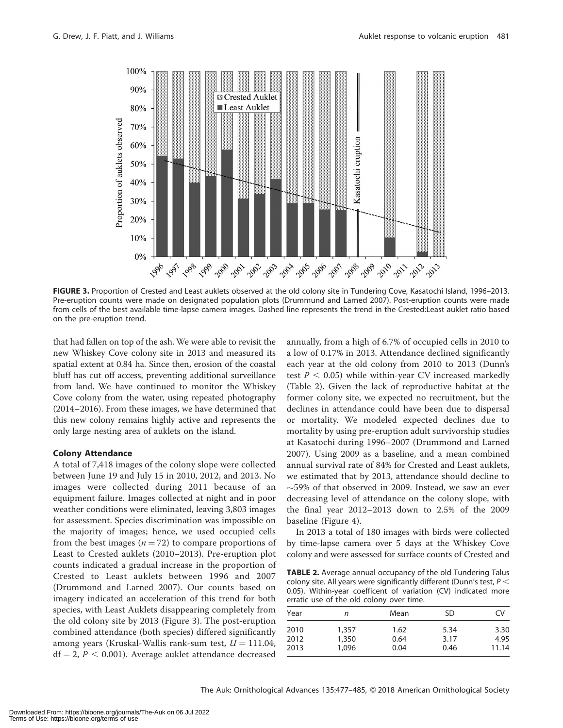

FIGURE 3. Proportion of Crested and Least auklets observed at the old colony site in Tundering Cove, Kasatochi Island, 1996–2013. Pre-eruption counts were made on designated population plots (Drummund and Larned 2007). Post-eruption counts were made from cells of the best available time-lapse camera images. Dashed line represents the trend in the Crested:Least auklet ratio based on the pre-eruption trend.

that had fallen on top of the ash. We were able to revisit the new Whiskey Cove colony site in 2013 and measured its spatial extent at 0.84 ha. Since then, erosion of the coastal bluff has cut off access, preventing additional surveillance from land. We have continued to monitor the Whiskey Cove colony from the water, using repeated photography (2014–2016). From these images, we have determined that this new colony remains highly active and represents the only large nesting area of auklets on the island.

#### Colony Attendance

A total of 7,418 images of the colony slope were collected between June 19 and July 15 in 2010, 2012, and 2013. No images were collected during 2011 because of an equipment failure. Images collected at night and in poor weather conditions were eliminated, leaving 3,803 images for assessment. Species discrimination was impossible on the majority of images; hence, we used occupied cells from the best images ( $n = 72$ ) to compare proportions of Least to Crested auklets (2010–2013). Pre-eruption plot counts indicated a gradual increase in the proportion of Crested to Least auklets between 1996 and 2007 (Drummond and Larned 2007). Our counts based on imagery indicated an acceleration of this trend for both species, with Least Auklets disappearing completely from the old colony site by 2013 (Figure 3). The post-eruption combined attendance (both species) differed significantly among years (Kruskal-Wallis rank-sum test,  $U = 111.04$ ,  $df = 2$ ,  $P < 0.001$ ). Average auklet attendance decreased

annually, from a high of 6.7% of occupied cells in 2010 to a low of 0.17% in 2013. Attendance declined significantly each year at the old colony from 2010 to 2013 (Dunn's test  $P < 0.05$ ) while within-year CV increased markedly (Table 2). Given the lack of reproductive habitat at the former colony site, we expected no recruitment, but the declines in attendance could have been due to dispersal or mortality. We modeled expected declines due to mortality by using pre-eruption adult survivorship studies at Kasatochi during 1996–2007 (Drummond and Larned 2007). Using 2009 as a baseline, and a mean combined annual survival rate of 84% for Crested and Least auklets, we estimated that by 2013, attendance should decline to  $\sim$ 59% of that observed in 2009. Instead, we saw an ever decreasing level of attendance on the colony slope, with the final year 2012–2013 down to 2.5% of the 2009 baseline (Figure 4).

In 2013 a total of 180 images with birds were collected by time-lapse camera over 5 days at the Whiskey Cove colony and were assessed for surface counts of Crested and

TABLE 2. Average annual occupancy of the old Tundering Talus colony site. All years were significantly different (Dunn's test,  $P <$ 0.05). Within-year coefficent of variation (CV) indicated more erratic use of the old colony over time.

| Year         | n              | Mean         | SD           | CV           |
|--------------|----------------|--------------|--------------|--------------|
| 2010<br>2012 | 1,357<br>1,350 | 1.62<br>0.64 | 5.34<br>3.17 | 3.30<br>4.95 |
| 2013         | 1.096          | 0.04         | 0.46         | 11.14        |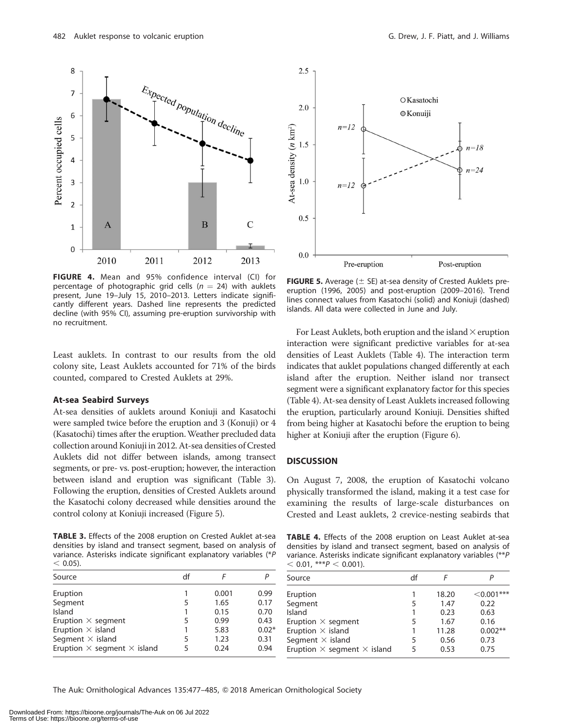

FIGURE 4. Mean and 95% confidence interval (CI) for percentage of photographic grid cells ( $n = 24$ ) with auklets present, June 19–July 15, 2010–2013. Letters indicate significantly different years. Dashed line represents the predicted decline (with 95% CI), assuming pre-eruption survivorship with no recruitment.

Least auklets. In contrast to our results from the old colony site, Least Auklets accounted for 71% of the birds counted, compared to Crested Auklets at 29%.

#### At-sea Seabird Surveys

At-sea densities of auklets around Koniuji and Kasatochi were sampled twice before the eruption and 3 (Konuji) or 4 (Kasatochi) times after the eruption.Weather precluded data collection around Koniuji in 2012. At-sea densities of Crested Auklets did not differ between islands, among transect segments, or pre- vs. post-eruption; however, the interaction between island and eruption was significant (Table 3). Following the eruption, densities of Crested Auklets around the Kasatochi colony decreased while densities around the control colony at Koniuji increased (Figure 5).

TABLE 3. Effects of the 2008 eruption on Crested Auklet at-sea densities by island and transect segment, based on analysis of variance. Asterisks indicate significant explanatory variables (\*P  $< 0.05$ ).

| Source                                    | df |       |         |
|-------------------------------------------|----|-------|---------|
| Eruption                                  |    | 0.001 | 0.99    |
| Segment                                   | 5  | 1.65  | 0.17    |
| Island                                    |    | 0.15  | 0.70    |
| Eruption $\times$ segment                 | 5  | 0.99  | 0.43    |
| Eruption $\times$ island                  |    | 5.83  | $0.02*$ |
| Segment $\times$ island                   | 5  | 1.23  | 0.31    |
| Eruption $\times$ segment $\times$ island | 5  | 0.24  | 0.94    |



**FIGURE 5.** Average ( $\pm$  SE) at-sea density of Crested Auklets preeruption (1996, 2005) and post-eruption (2009–2016). Trend lines connect values from Kasatochi (solid) and Koniuji (dashed) islands. All data were collected in June and July.

For Least Auklets, both eruption and the island $\times$ eruption interaction were significant predictive variables for at-sea densities of Least Auklets (Table 4). The interaction term indicates that auklet populations changed differently at each island after the eruption. Neither island nor transect segment were a significant explanatory factor for this species (Table 4). At-sea density of Least Auklets increased following the eruption, particularly around Koniuji. Densities shifted from being higher at Kasatochi before the eruption to being higher at Koniuji after the eruption (Figure 6).

#### **DISCUSSION**

On August 7, 2008, the eruption of Kasatochi volcano physically transformed the island, making it a test case for examining the results of large-scale disturbances on Crested and Least auklets, 2 crevice-nesting seabirds that

TABLE 4. Effects of the 2008 eruption on Least Auklet at-sea densities by island and transect segment, based on analysis of variance. Asterisks indicate significant explanatory variables (\*\*P  $<$  0.01, \*\*\*P  $<$  0.001).

| Source                                    | df |       |              |
|-------------------------------------------|----|-------|--------------|
| Eruption                                  |    | 18.20 | $<$ 0.001*** |
| Segment                                   |    | 1.47  | 0.22         |
| Island                                    |    | 0.23  | 0.63         |
| Eruption $\times$ segment                 |    | 1.67  | 0.16         |
| Eruption $\times$ island                  |    | 11.28 | $0.002**$    |
| Segment $\times$ island                   | 5  | 0.56  | 0.73         |
| Eruption $\times$ segment $\times$ island |    | 0.53  | 0.75         |

The Auk: Ornithological Advances 135:477-485, © 2018 American Ornithological Society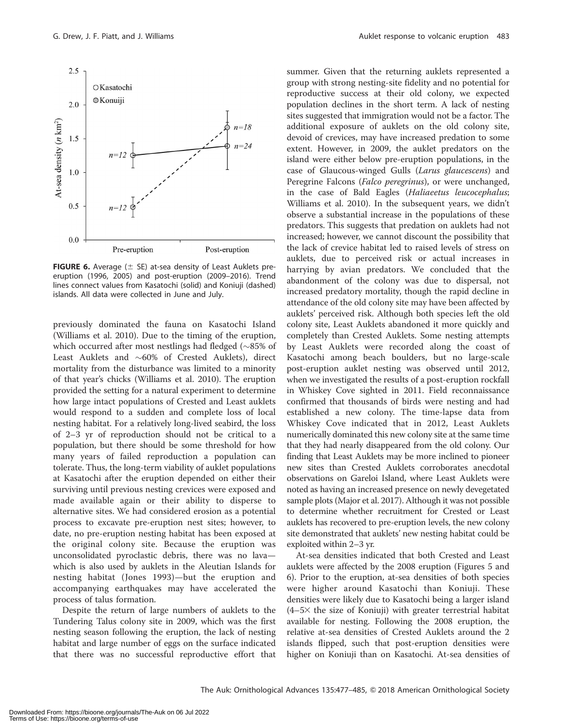

**FIGURE 6.** Average ( $\pm$  SE) at-sea density of Least Auklets preeruption (1996, 2005) and post-eruption (2009–2016). Trend lines connect values from Kasatochi (solid) and Koniuji (dashed) islands. All data were collected in June and July.

previously dominated the fauna on Kasatochi Island (Williams et al. 2010). Due to the timing of the eruption, which occurred after most nestlings had fledged  $(\sim 85\%$  of Least Auklets and  $~60\%$  of Crested Auklets), direct mortality from the disturbance was limited to a minority of that year's chicks (Williams et al. 2010). The eruption provided the setting for a natural experiment to determine how large intact populations of Crested and Least auklets would respond to a sudden and complete loss of local nesting habitat. For a relatively long-lived seabird, the loss of 2–3 yr of reproduction should not be critical to a population, but there should be some threshold for how many years of failed reproduction a population can tolerate. Thus, the long-term viability of auklet populations at Kasatochi after the eruption depended on either their surviving until previous nesting crevices were exposed and made available again or their ability to disperse to alternative sites. We had considered erosion as a potential process to excavate pre-eruption nest sites; however, to date, no pre-eruption nesting habitat has been exposed at the original colony site. Because the eruption was unconsolidated pyroclastic debris, there was no lava which is also used by auklets in the Aleutian Islands for nesting habitat (Jones 1993)—but the eruption and accompanying earthquakes may have accelerated the process of talus formation.

Despite the return of large numbers of auklets to the Tundering Talus colony site in 2009, which was the first nesting season following the eruption, the lack of nesting habitat and large number of eggs on the surface indicated that there was no successful reproductive effort that

summer. Given that the returning auklets represented a group with strong nesting-site fidelity and no potential for reproductive success at their old colony, we expected population declines in the short term. A lack of nesting sites suggested that immigration would not be a factor. The additional exposure of auklets on the old colony site, devoid of crevices, may have increased predation to some extent. However, in 2009, the auklet predators on the island were either below pre-eruption populations, in the case of Glaucous-winged Gulls (Larus glaucescens) and Peregrine Falcons (*Falco peregrinus*), or were unchanged, in the case of Bald Eagles (Haliaeetus leucocephalus; Williams et al. 2010). In the subsequent years, we didn't observe a substantial increase in the populations of these predators. This suggests that predation on auklets had not increased; however, we cannot discount the possibility that the lack of crevice habitat led to raised levels of stress on auklets, due to perceived risk or actual increases in harrying by avian predators. We concluded that the abandonment of the colony was due to dispersal, not increased predatory mortality, though the rapid decline in attendance of the old colony site may have been affected by auklets' perceived risk. Although both species left the old colony site, Least Auklets abandoned it more quickly and completely than Crested Auklets. Some nesting attempts by Least Auklets were recorded along the coast of Kasatochi among beach boulders, but no large-scale post-eruption auklet nesting was observed until 2012, when we investigated the results of a post-eruption rockfall in Whiskey Cove sighted in 2011. Field reconnaissance confirmed that thousands of birds were nesting and had established a new colony. The time-lapse data from Whiskey Cove indicated that in 2012, Least Auklets numerically dominated this new colony site at the same time that they had nearly disappeared from the old colony. Our finding that Least Auklets may be more inclined to pioneer new sites than Crested Auklets corroborates anecdotal observations on Gareloi Island, where Least Auklets were noted as having an increased presence on newly devegetated sample plots (Major et al. 2017). Although it was not possible to determine whether recruitment for Crested or Least auklets has recovered to pre-eruption levels, the new colony site demonstrated that auklets' new nesting habitat could be exploited within 2–3 yr.

At-sea densities indicated that both Crested and Least auklets were affected by the 2008 eruption (Figures 5 and 6). Prior to the eruption, at-sea densities of both species were higher around Kasatochi than Koniuji. These densities were likely due to Kasatochi being a larger island  $(4-5\times$  the size of Koniuji) with greater terrestrial habitat available for nesting. Following the 2008 eruption, the relative at-sea densities of Crested Auklets around the 2 islands flipped, such that post-eruption densities were higher on Koniuji than on Kasatochi. At-sea densities of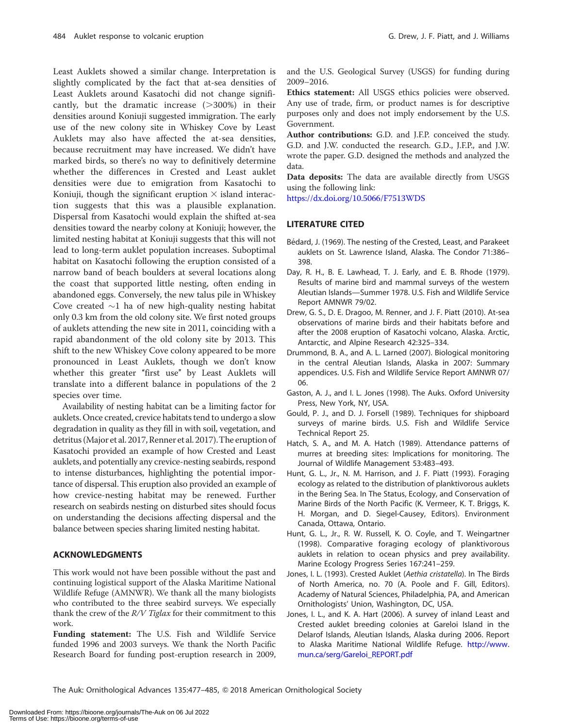Least Auklets showed a similar change. Interpretation is slightly complicated by the fact that at-sea densities of Least Auklets around Kasatochi did not change significantly, but the dramatic increase  $(>300%)$  in their densities around Koniuji suggested immigration. The early use of the new colony site in Whiskey Cove by Least Auklets may also have affected the at-sea densities, because recruitment may have increased. We didn't have marked birds, so there's no way to definitively determine whether the differences in Crested and Least auklet densities were due to emigration from Kasatochi to Koniuji, though the significant eruption  $\times$  island interaction suggests that this was a plausible explanation. Dispersal from Kasatochi would explain the shifted at-sea densities toward the nearby colony at Koniuji; however, the limited nesting habitat at Koniuji suggests that this will not lead to long-term auklet population increases. Suboptimal habitat on Kasatochi following the eruption consisted of a narrow band of beach boulders at several locations along the coast that supported little nesting, often ending in abandoned eggs. Conversely, the new talus pile in Whiskey Cove created  $\sim$ 1 ha of new high-quality nesting habitat only 0.3 km from the old colony site. We first noted groups of auklets attending the new site in 2011, coinciding with a rapid abandonment of the old colony site by 2013. This shift to the new Whiskey Cove colony appeared to be more pronounced in Least Auklets, though we don't know whether this greater "first use" by Least Auklets will translate into a different balance in populations of the 2 species over time.

Availability of nesting habitat can be a limiting factor for auklets. Once created, crevice habitats tend to undergo a slow degradation in quality as they fill in with soil, vegetation, and detritus (Major et al. 2017, Renner et al. 2017).The eruption of Kasatochi provided an example of how Crested and Least auklets, and potentially any crevice-nesting seabirds, respond to intense disturbances, highlighting the potential importance of dispersal. This eruption also provided an example of how crevice-nesting habitat may be renewed. Further research on seabirds nesting on disturbed sites should focus on understanding the decisions affecting dispersal and the balance between species sharing limited nesting habitat.

#### ACKNOWLEDGMENTS

This work would not have been possible without the past and continuing logistical support of the Alaska Maritime National Wildlife Refuge (AMNWR). We thank all the many biologists who contributed to the three seabird surveys. We especially thank the crew of the  $R/V$  Tiglax for their commitment to this work.

Funding statement: The U.S. Fish and Wildlife Service funded 1996 and 2003 surveys. We thank the North Pacific Research Board for funding post-eruption research in 2009,

and the U.S. Geological Survey (USGS) for funding during 2009–2016.

Ethics statement: All USGS ethics policies were observed. Any use of trade, firm, or product names is for descriptive purposes only and does not imply endorsement by the U.S. Government.

Author contributions: G.D. and J.F.P. conceived the study. G.D. and J.W. conducted the research. G.D., J.F.P., and J.W. wrote the paper. G.D. designed the methods and analyzed the data.

Data deposits: The data are available directly from USGS using the following link:

<https://dx.doi.org/10.5066/F7513WDS>

# LITERATURE CITED

- Bédard, J. (1969). The nesting of the Crested, Least, and Parakeet auklets on St. Lawrence Island, Alaska. The Condor 71:386– 398.
- Day, R. H., B. E. Lawhead, T. J. Early, and E. B. Rhode (1979). Results of marine bird and mammal surveys of the western Aleutian Islands—Summer 1978. U.S. Fish and Wildlife Service Report AMNWR 79/02.
- Drew, G. S., D. E. Dragoo, M. Renner, and J. F. Piatt (2010). At-sea observations of marine birds and their habitats before and after the 2008 eruption of Kasatochi volcano, Alaska. Arctic, Antarctic, and Alpine Research 42:325–334.
- Drummond, B. A., and A. L. Larned (2007). Biological monitoring in the central Aleutian Islands, Alaska in 2007: Summary appendices. U.S. Fish and Wildlife Service Report AMNWR 07/ 06.
- Gaston, A. J., and I. L. Jones (1998). The Auks. Oxford University Press, New York, NY, USA.
- Gould, P. J., and D. J. Forsell (1989). Techniques for shipboard surveys of marine birds. U.S. Fish and Wildlife Service Technical Report 25.
- Hatch, S. A., and M. A. Hatch (1989). Attendance patterns of murres at breeding sites: Implications for monitoring. The Journal of Wildlife Management 53:483–493.
- Hunt, G. L., Jr., N. M. Harrison, and J. F. Piatt (1993). Foraging ecology as related to the distribution of planktivorous auklets in the Bering Sea. In The Status, Ecology, and Conservation of Marine Birds of the North Pacific (K. Vermeer, K. T. Briggs, K. H. Morgan, and D. Siegel-Causey, Editors). Environment Canada, Ottawa, Ontario.
- Hunt, G. L., Jr., R. W. Russell, K. O. Coyle, and T. Weingartner (1998). Comparative foraging ecology of planktivorous auklets in relation to ocean physics and prey availability. Marine Ecology Progress Series 167:241–259.
- Jones, I. L. (1993). Crested Auklet (Aethia cristatella). In The Birds of North America, no. 70 (A. Poole and F. Gill, Editors). Academy of Natural Sciences, Philadelphia, PA, and American Ornithologists' Union, Washington, DC, USA.
- Jones, I. L., and K. A. Hart (2006). A survey of inland Least and Crested auklet breeding colonies at Gareloi Island in the Delarof Islands, Aleutian Islands, Alaska during 2006. Report to Alaska Maritime National Wildlife Refuge. [http://www.](http://www.mun.ca/serg/Gareloi_REPORT.pdf) [mun.ca/serg/Gareloi\\_REPORT.pdf](http://www.mun.ca/serg/Gareloi_REPORT.pdf)

The Auk: Ornithological Advances 135:477-485, © 2018 American Ornithological Society